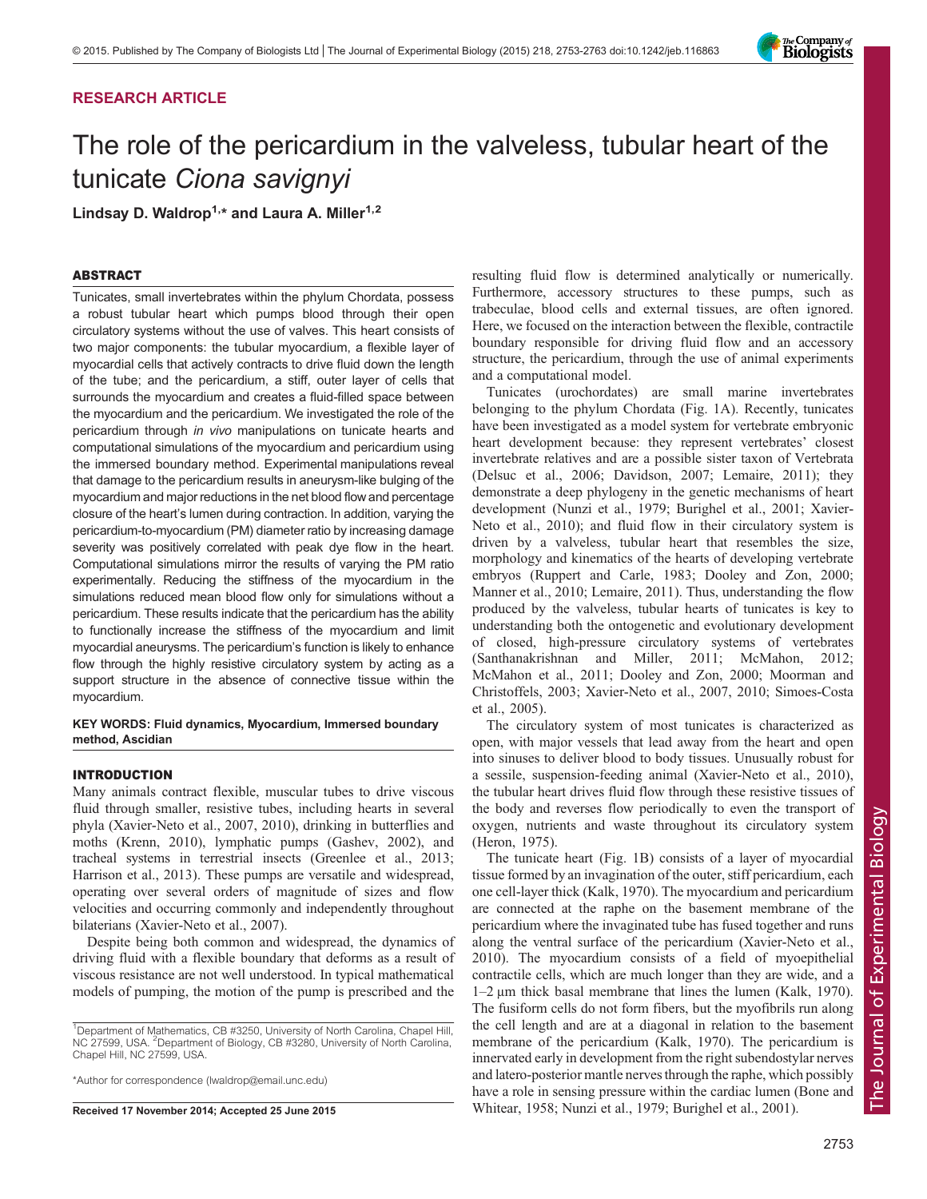# RESEARCH ARTICLE

# The role of the pericardium in the valveless, tubular heart of the tunicate Ciona savignyi

Lindsay D. Waldrop<sup>1,\*</sup> and Laura A. Miller<sup>1,2</sup>

## ABSTRACT

Tunicates, small invertebrates within the phylum Chordata, possess a robust tubular heart which pumps blood through their open circulatory systems without the use of valves. This heart consists of two major components: the tubular myocardium, a flexible layer of myocardial cells that actively contracts to drive fluid down the length of the tube; and the pericardium, a stiff, outer layer of cells that surrounds the myocardium and creates a fluid-filled space between the myocardium and the pericardium. We investigated the role of the pericardium through in vivo manipulations on tunicate hearts and computational simulations of the myocardium and pericardium using the immersed boundary method. Experimental manipulations reveal that damage to the pericardium results in aneurysm-like bulging of the myocardium and major reductions in the net blood flow and percentage closure of the heart's lumen during contraction. In addition, varying the pericardium-to-myocardium (PM) diameter ratio by increasing damage severity was positively correlated with peak dye flow in the heart. Computational simulations mirror the results of varying the PM ratio experimentally. Reducing the stiffness of the myocardium in the simulations reduced mean blood flow only for simulations without a pericardium. These results indicate that the pericardium has the ability to functionally increase the stiffness of the myocardium and limit myocardial aneurysms. The pericardium's function is likely to enhance flow through the highly resistive circulatory system by acting as a support structure in the absence of connective tissue within the myocardium.

## KEY WORDS: Fluid dynamics, Myocardium, Immersed boundary method, Ascidian

## INTRODUCTION

Many animals contract flexible, muscular tubes to drive viscous fluid through smaller, resistive tubes, including hearts in several phyla ([Xavier-Neto et al., 2007, 2010\)](#page-10-0), drinking in butterflies and moths ([Krenn, 2010\)](#page-10-0), lymphatic pumps [\(Gashev, 2002](#page-9-0)), and tracheal systems in terrestrial insects [\(Greenlee et al., 2013](#page-9-0); [Harrison et al., 2013](#page-10-0)). These pumps are versatile and widespread, operating over several orders of magnitude of sizes and flow velocities and occurring commonly and independently throughout bilaterians ([Xavier-Neto et al., 2007\)](#page-10-0).

Despite being both common and widespread, the dynamics of driving fluid with a flexible boundary that deforms as a result of viscous resistance are not well understood. In typical mathematical models of pumping, the motion of the pump is prescribed and the

<sup>1</sup>Department of Mathematics, CB #3250, University of North Carolina, Chapel Hill, NC 27599, USA. <sup>2</sup>Department of Biology, CB #3280, University of North Carolina, Chapel Hill, NC 27599, USA.

\*Author for correspondence [\(lwaldrop@email.unc.edu](mailto:lwaldrop@email.unc.edu))

resulting fluid flow is determined analytically or numerically. Furthermore, accessory structures to these pumps, such as trabeculae, blood cells and external tissues, are often ignored. Here, we focused on the interaction between the flexible, contractile boundary responsible for driving fluid flow and an accessory structure, the pericardium, through the use of animal experiments and a computational model.

Tunicates (urochordates) are small marine invertebrates belonging to the phylum Chordata ([Fig. 1A](#page-1-0)). Recently, tunicates have been investigated as a model system for vertebrate embryonic heart development because: they represent vertebrates' closest invertebrate relatives and are a possible sister taxon of Vertebrata [\(Delsuc et al., 2006; Davidson, 2007;](#page-9-0) [Lemaire, 2011](#page-10-0)); they demonstrate a deep phylogeny in the genetic mechanisms of heart development [\(Nunzi et al., 1979](#page-10-0); [Burighel et al., 2001](#page-9-0); [Xavier-](#page-10-0)[Neto et al., 2010](#page-10-0)); and fluid flow in their circulatory system is driven by a valveless, tubular heart that resembles the size, morphology and kinematics of the hearts of developing vertebrate embryos [\(Ruppert and Carle, 1983](#page-10-0); [Dooley and Zon, 2000](#page-9-0); [Manner et al., 2010; Lemaire, 2011\)](#page-10-0). Thus, understanding the flow produced by the valveless, tubular hearts of tunicates is key to understanding both the ontogenetic and evolutionary development of closed, high-pressure circulatory systems of vertebrates [\(Santhanakrishnan and Miller, 2011](#page-10-0); [McMahon, 2012](#page-10-0); [McMahon et al., 2011;](#page-10-0) [Dooley and Zon, 2000](#page-9-0); [Moorman and](#page-10-0) [Christoffels, 2003; Xavier-Neto et al., 2007](#page-10-0), [2010](#page-10-0); [Simoes-Costa](#page-10-0) [et al., 2005\)](#page-10-0).

The circulatory system of most tunicates is characterized as open, with major vessels that lead away from the heart and open into sinuses to deliver blood to body tissues. Unusually robust for a sessile, suspension-feeding animal ([Xavier-Neto et al., 2010\)](#page-10-0), the tubular heart drives fluid flow through these resistive tissues of the body and reverses flow periodically to even the transport of oxygen, nutrients and waste throughout its circulatory system [\(Heron, 1975](#page-10-0)).

The tunicate heart [\(Fig. 1B](#page-1-0)) consists of a layer of myocardial tissue formed by an invagination of the outer, stiff pericardium, each one cell-layer thick [\(Kalk, 1970\)](#page-10-0). The myocardium and pericardium are connected at the raphe on the basement membrane of the pericardium where the invaginated tube has fused together and runs along the ventral surface of the pericardium [\(Xavier-Neto et al.,](#page-10-0) [2010\)](#page-10-0). The myocardium consists of a field of myoepithelial contractile cells, which are much longer than they are wide, and a 1–2 μm thick basal membrane that lines the lumen [\(Kalk, 1970\)](#page-10-0). The fusiform cells do not form fibers, but the myofibrils run along the cell length and are at a diagonal in relation to the basement membrane of the pericardium ([Kalk, 1970\)](#page-10-0). The pericardium is innervated early in development from the right subendostylar nerves and latero-posterior mantle nerves through the raphe, which possibly have a role in sensing pressure within the cardiac lumen ([Bone and](#page-9-0) Received 17 November 2014; Accepted 25 June 2015 [Whitear, 1958](#page-9-0); [Nunzi et al., 1979](#page-10-0); [Burighel et al., 2001](#page-9-0)).

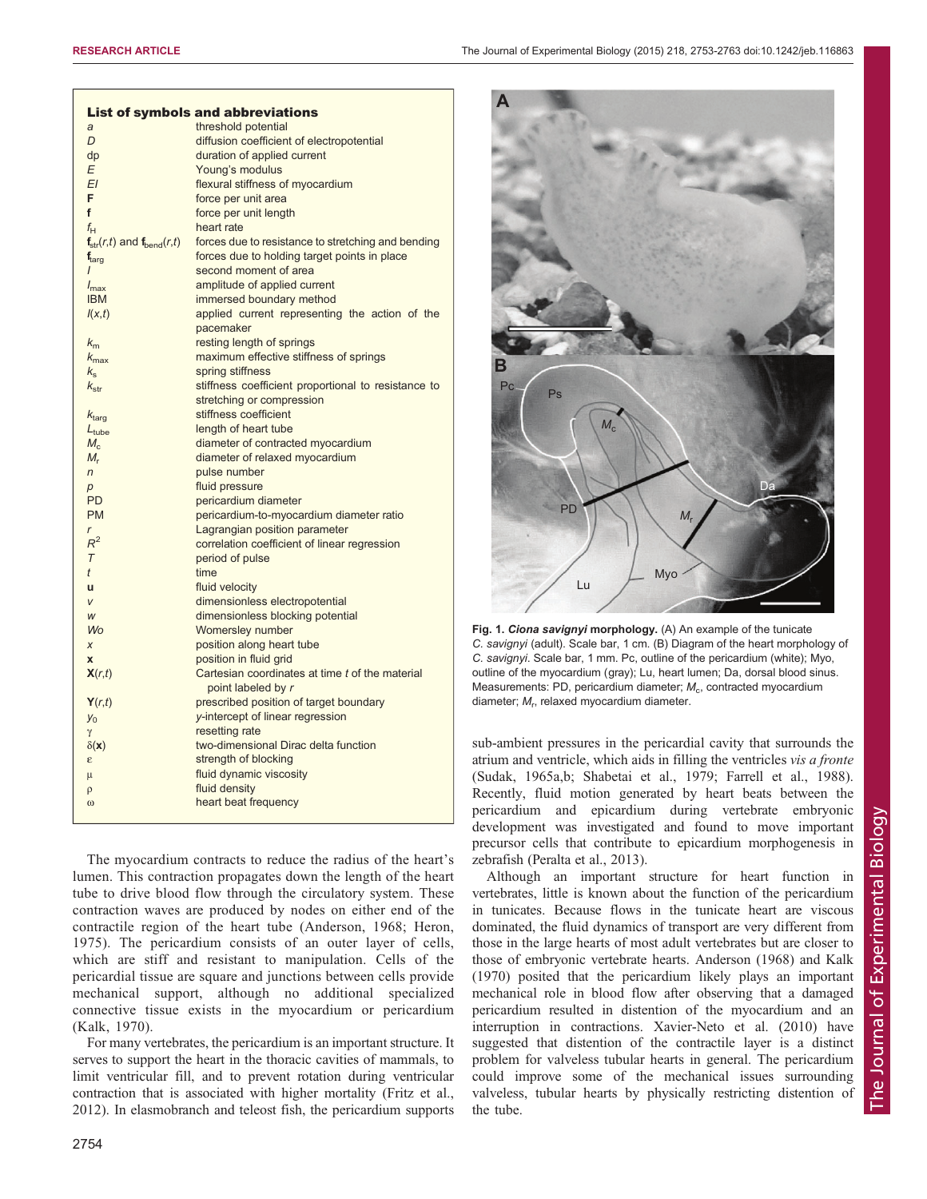<span id="page-1-0"></span>

|                            |                                    | <b>List of symbols and abbreviations</b>                                      |
|----------------------------|------------------------------------|-------------------------------------------------------------------------------|
| a                          |                                    | threshold potential                                                           |
| D                          |                                    | diffusion coefficient of electropotential                                     |
| dp                         |                                    | duration of applied current                                                   |
| E                          |                                    | Young's modulus                                                               |
| EΙ                         |                                    | flexural stiffness of myocardium                                              |
| F                          |                                    | force per unit area                                                           |
| f                          |                                    | force per unit length                                                         |
| $f_{\vdash}$               |                                    | heart rate                                                                    |
|                            | $f_{str}(r,t)$ and $f_{bend}(r,t)$ | forces due to resistance to stretching and bending                            |
| $\mathbf{f}_{\text{tara}}$ |                                    | forces due to holding target points in place                                  |
|                            |                                    | second moment of area                                                         |
| $l_{\text{max}}$           |                                    | amplitude of applied current                                                  |
| <b>IBM</b>                 |                                    | immersed boundary method                                                      |
| I(x,t)                     |                                    | applied current representing the action of the                                |
|                            |                                    | pacemaker                                                                     |
| $k_{m}$                    |                                    | resting length of springs                                                     |
| $k_{\rm max}$              |                                    | maximum effective stiffness of springs                                        |
| $k_{\rm e}$                |                                    | spring stiffness                                                              |
| $k_{\rm str}$              |                                    | stiffness coefficient proportional to resistance to                           |
|                            |                                    | stretching or compression                                                     |
| $k_{\rm targ}$             |                                    | stiffness coefficient                                                         |
| $L_{\rm tube}$             |                                    | length of heart tube                                                          |
| $M_{\odot}$                |                                    | diameter of contracted myocardium                                             |
| $M_{r}$                    |                                    | diameter of relaxed myocardium                                                |
| $\overline{r}$             |                                    | pulse number                                                                  |
|                            |                                    | fluid pressure                                                                |
| p<br><b>PD</b>             |                                    | pericardium diameter                                                          |
| <b>PM</b>                  |                                    | pericardium-to-myocardium diameter ratio                                      |
| r                          |                                    |                                                                               |
| $R^2$                      |                                    | Lagrangian position parameter<br>correlation coefficient of linear regression |
| $\tau$                     |                                    |                                                                               |
|                            |                                    | period of pulse                                                               |
| t                          |                                    | time                                                                          |
| ū                          |                                    | fluid velocity                                                                |
| $\vee$                     |                                    | dimensionless electropotential                                                |
| W                          |                                    | dimensionless blocking potential                                              |
| <b>Wo</b>                  |                                    | Womersley number                                                              |
| X                          |                                    | position along heart tube                                                     |
| $\mathbf x$                |                                    | position in fluid grid                                                        |
| X(r,t)                     |                                    | Cartesian coordinates at time t of the material<br>point labeled by r         |
| Y(r,t)                     |                                    | prescribed position of target boundary                                        |
| $y_0$                      |                                    | y-intercept of linear regression                                              |
| γ                          |                                    | resetting rate                                                                |
| $\delta(\mathbf{x})$       |                                    | two-dimensional Dirac delta function                                          |
| ε                          |                                    | strength of blocking                                                          |
| μ                          |                                    | fluid dynamic viscosity                                                       |
| ρ                          |                                    | fluid density                                                                 |
| $\omega$                   |                                    | heart beat frequency                                                          |
|                            |                                    |                                                                               |
|                            |                                    |                                                                               |

The myocardium contracts to reduce the radius of the heart's lumen. This contraction propagates down the length of the heart tube to drive blood flow through the circulatory system. These contraction waves are produced by nodes on either end of the contractile region of the heart tube [\(Anderson, 1968](#page-9-0); [Heron,](#page-10-0) [1975\)](#page-10-0). The pericardium consists of an outer layer of cells, which are stiff and resistant to manipulation. Cells of the pericardial tissue are square and junctions between cells provide mechanical support, although no additional specialized connective tissue exists in the myocardium or pericardium [\(Kalk, 1970\)](#page-10-0).

For many vertebrates, the pericardium is an important structure. It serves to support the heart in the thoracic cavities of mammals, to limit ventricular fill, and to prevent rotation during ventricular contraction that is associated with higher mortality ([Fritz et al.,](#page-9-0) [2012](#page-9-0)). In elasmobranch and teleost fish, the pericardium supports





Fig. 1. Ciona savignyi morphology. (A) An example of the tunicate C. savignyi (adult). Scale bar, 1 cm. (B) Diagram of the heart morphology of C. savignyi. Scale bar, 1 mm. Pc, outline of the pericardium (white); Myo, outline of the myocardium (gray); Lu, heart lumen; Da, dorsal blood sinus. Measurements: PD, pericardium diameter;  $M<sub>c</sub>$ , contracted myocardium diameter;  $M_r$ , relaxed myocardium diameter.

sub-ambient pressures in the pericardial cavity that surrounds the atrium and ventricle, which aids in filling the ventricles vis a fronte [\(Sudak, 1965a,b](#page-10-0); [Shabetai et al., 1979;](#page-10-0) [Farrell et al., 1988\)](#page-9-0). Recently, fluid motion generated by heart beats between the pericardium and epicardium during vertebrate embryonic development was investigated and found to move important precursor cells that contribute to epicardium morphogenesis in zebrafish ([Peralta et al., 2013\)](#page-10-0).

Although an important structure for heart function in vertebrates, little is known about the function of the pericardium in tunicates. Because flows in the tunicate heart are viscous dominated, the fluid dynamics of transport are very different from those in the large hearts of most adult vertebrates but are closer to those of embryonic vertebrate hearts. [Anderson \(1968\)](#page-9-0) and [Kalk](#page-10-0) [\(1970\)](#page-10-0) posited that the pericardium likely plays an important mechanical role in blood flow after observing that a damaged pericardium resulted in distention of the myocardium and an interruption in contractions. [Xavier-Neto et al. \(2010\)](#page-10-0) have suggested that distention of the contractile layer is a distinct problem for valveless tubular hearts in general. The pericardium could improve some of the mechanical issues surrounding valveless, tubular hearts by physically restricting distention of the tube.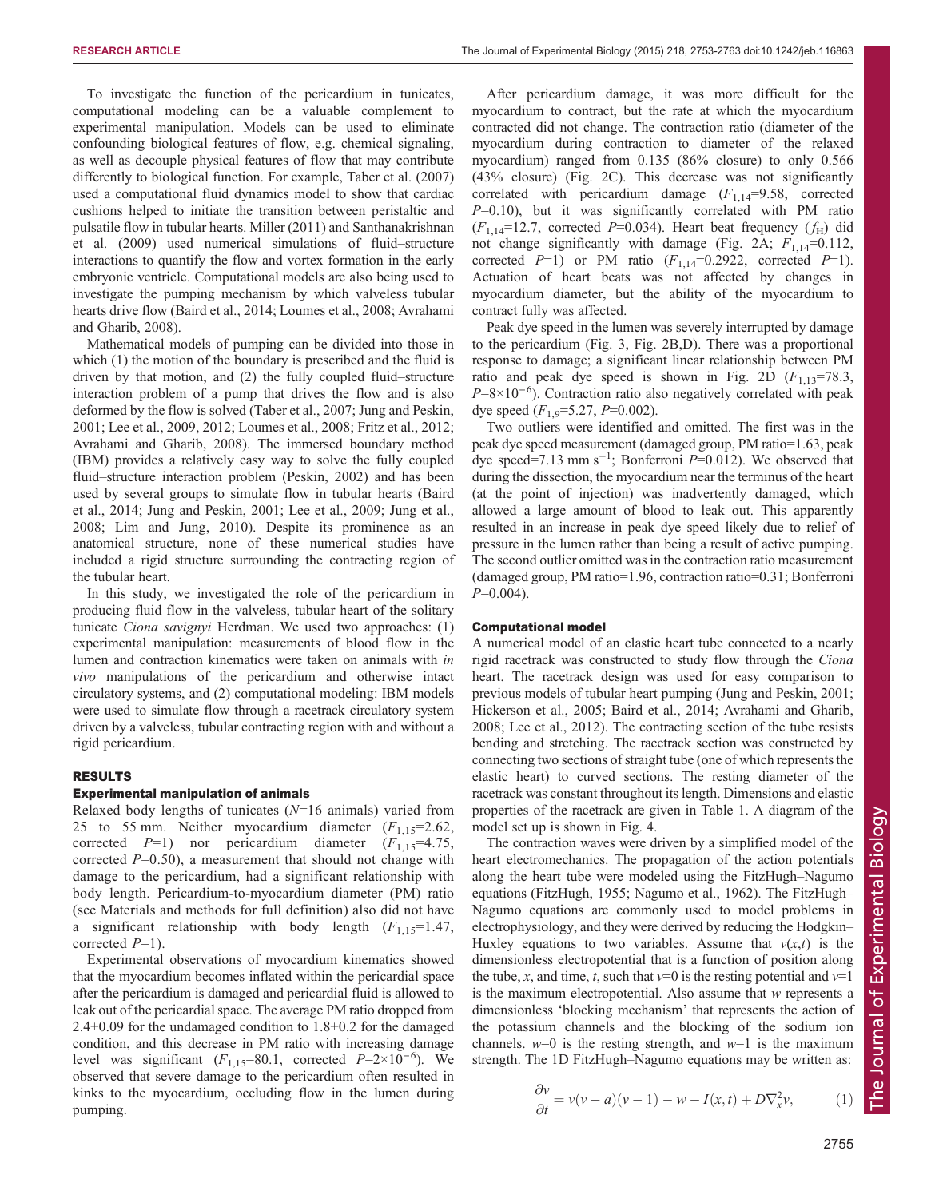To investigate the function of the pericardium in tunicates, computational modeling can be a valuable complement to experimental manipulation. Models can be used to eliminate confounding biological features of flow, e.g. chemical signaling, as well as decouple physical features of flow that may contribute differently to biological function. For example, [Taber et al. \(2007\)](#page-10-0) used a computational fluid dynamics model to show that cardiac cushions helped to initiate the transition between peristaltic and pulsatile flow in tubular hearts. [Miller \(2011\)](#page-10-0) and [Santhanakrishnan](#page-10-0) [et al. \(2009\)](#page-10-0) used numerical simulations of fluid–structure interactions to quantify the flow and vortex formation in the early embryonic ventricle. Computational models are also being used to investigate the pumping mechanism by which valveless tubular hearts drive flow ([Baird et al., 2014](#page-9-0); [Loumes et al., 2008;](#page-10-0) [Avrahami](#page-9-0) [and Gharib, 2008\)](#page-9-0).

Mathematical models of pumping can be divided into those in which (1) the motion of the boundary is prescribed and the fluid is driven by that motion, and (2) the fully coupled fluid–structure interaction problem of a pump that drives the flow and is also deformed by the flow is solved ([Taber et al., 2007](#page-10-0); [Jung and Peskin,](#page-10-0) [2001](#page-10-0); [Lee et al., 2009, 2012; Loumes et al., 2008;](#page-10-0) [Fritz et al., 2012](#page-9-0); [Avrahami and Gharib, 2008](#page-9-0)). The immersed boundary method (IBM) provides a relatively easy way to solve the fully coupled fluid–structure interaction problem ([Peskin, 2002](#page-10-0)) and has been used by several groups to simulate flow in tubular hearts [\(Baird](#page-9-0) [et al., 2014;](#page-9-0) [Jung and Peskin, 2001; Lee et al., 2009; Jung et al.,](#page-10-0) [2008](#page-10-0); [Lim and Jung, 2010\)](#page-10-0). Despite its prominence as an anatomical structure, none of these numerical studies have included a rigid structure surrounding the contracting region of the tubular heart.

In this study, we investigated the role of the pericardium in producing fluid flow in the valveless, tubular heart of the solitary tunicate Ciona savignyi Herdman. We used two approaches: (1) experimental manipulation: measurements of blood flow in the lumen and contraction kinematics were taken on animals with in vivo manipulations of the pericardium and otherwise intact circulatory systems, and (2) computational modeling: IBM models were used to simulate flow through a racetrack circulatory system driven by a valveless, tubular contracting region with and without a rigid pericardium.

# RESULTS

#### Experimental manipulation of animals

Relaxed body lengths of tunicates  $(N=16 \text{ animals})$  varied from 25 to 55 mm. Neither myocardium diameter  $(F_{1,15}=2.62)$ , corrected  $P=1$ ) nor pericardium diameter  $(F_{1,15}=4.75,$ corrected  $P=0.50$ , a measurement that should not change with damage to the pericardium, had a significant relationship with body length. Pericardium-to-myocardium diameter (PM) ratio (see Materials and methods for full definition) also did not have a significant relationship with body length  $(F_{1,15}=1.47)$ , corrected  $P=1$ ).

Experimental observations of myocardium kinematics showed that the myocardium becomes inflated within the pericardial space after the pericardium is damaged and pericardial fluid is allowed to leak out of the pericardial space. The average PM ratio dropped from 2.4±0.09 for the undamaged condition to 1.8±0.2 for the damaged condition, and this decrease in PM ratio with increasing damage level was significant  $(F_{1,15}=80.1$ , corrected  $P=2\times10^{-6}$ ). We observed that severe damage to the pericardium often resulted in observed that severe damage to the pericardium often resulted in kinks to the myocardium, occluding flow in the lumen during pumping.

After pericardium damage, it was more difficult for the myocardium to contract, but the rate at which the myocardium contracted did not change. The contraction ratio (diameter of the myocardium during contraction to diameter of the relaxed myocardium) ranged from 0.135 (86% closure) to only 0.566 (43% closure) ([Fig. 2C](#page-3-0)). This decrease was not significantly correlated with pericardium damage  $(F_{1,14}=9.58,$  corrected  $P=0.10$ ), but it was significantly correlated with PM ratio  $(F_{1,14}=12.7,$  corrected P=0.034). Heart beat frequency  $(f_H)$  did not change significantly with damage ([Fig. 2](#page-3-0)A;  $F_{1,14}=0.112$ , corrected  $P=1$ ) or PM ratio  $(F_{1,14}=0.2922,$  corrected  $P=1$ ). Actuation of heart beats was not affected by changes in myocardium diameter, but the ability of the myocardium to contract fully was affected.

Peak dye speed in the lumen was severely interrupted by damage to the pericardium ([Fig. 3](#page-3-0), [Fig. 2](#page-3-0)B,D). There was a proportional response to damage; a significant linear relationship between PM ratio and peak dye speed is shown in [Fig. 2D](#page-3-0)  $(F_{1,13}=78.3,$  $P=8\times10^{-6}$ ). Contraction ratio also negatively correlated with peak<br>dve speed  $(F_1, = 5.27, P=0.002)$ dye speed  $(F_{1,9}=5.27, P=0.002)$ .

Two outliers were identified and omitted. The first was in the peak dye speed measurement (damaged group, PM ratio=1.63, peak dye speed=7.13 mm s<sup>-1</sup>; Bonferroni  $P=0.012$ ). We observed that during the dissection the myocardium near the terminus of the heart during the dissection, the myocardium near the terminus of the heart (at the point of injection) was inadvertently damaged, which allowed a large amount of blood to leak out. This apparently resulted in an increase in peak dye speed likely due to relief of pressure in the lumen rather than being a result of active pumping. The second outlier omitted was in the contraction ratio measurement (damaged group, PM ratio=1.96, contraction ratio=0.31; Bonferroni  $P=0.004$ ).

#### Computational model

A numerical model of an elastic heart tube connected to a nearly rigid racetrack was constructed to study flow through the Ciona heart. The racetrack design was used for easy comparison to previous models of tubular heart pumping [\(Jung and Peskin, 2001](#page-10-0); [Hickerson et al., 2005;](#page-10-0) [Baird et al., 2014](#page-9-0); [Avrahami and Gharib,](#page-9-0) [2008;](#page-9-0) [Lee et al., 2012\)](#page-10-0). The contracting section of the tube resists bending and stretching. The racetrack section was constructed by connecting two sections of straight tube (one of which represents the elastic heart) to curved sections. The resting diameter of the racetrack was constant throughout its length. Dimensions and elastic properties of the racetrack are given in [Table 1](#page-4-0). A diagram of the model set up is shown in [Fig. 4.](#page-4-0)

The contraction waves were driven by a simplified model of the heart electromechanics. The propagation of the action potentials along the heart tube were modeled using the FitzHugh–Nagumo equations ([FitzHugh, 1955;](#page-9-0) [Nagumo et al., 1962\)](#page-10-0). The FitzHugh– Nagumo equations are commonly used to model problems in electrophysiology, and they were derived by reducing the Hodgkin– Huxley equations to two variables. Assume that  $v(x,t)$  is the dimensionless electropotential that is a function of position along the tube, x, and time, t, such that  $v=0$  is the resting potential and  $v=1$ is the maximum electropotential. Also assume that w represents a dimensionless 'blocking mechanism' that represents the action of the potassium channels and the blocking of the sodium ion channels.  $w=0$  is the resting strength, and  $w=1$  is the maximum strength. The 1D FitzHugh–Nagumo equations may be written as:

$$
\frac{\partial v}{\partial t} = v(v - a)(v - 1) - w - I(x, t) + D\nabla_x^2 v,\tag{1}
$$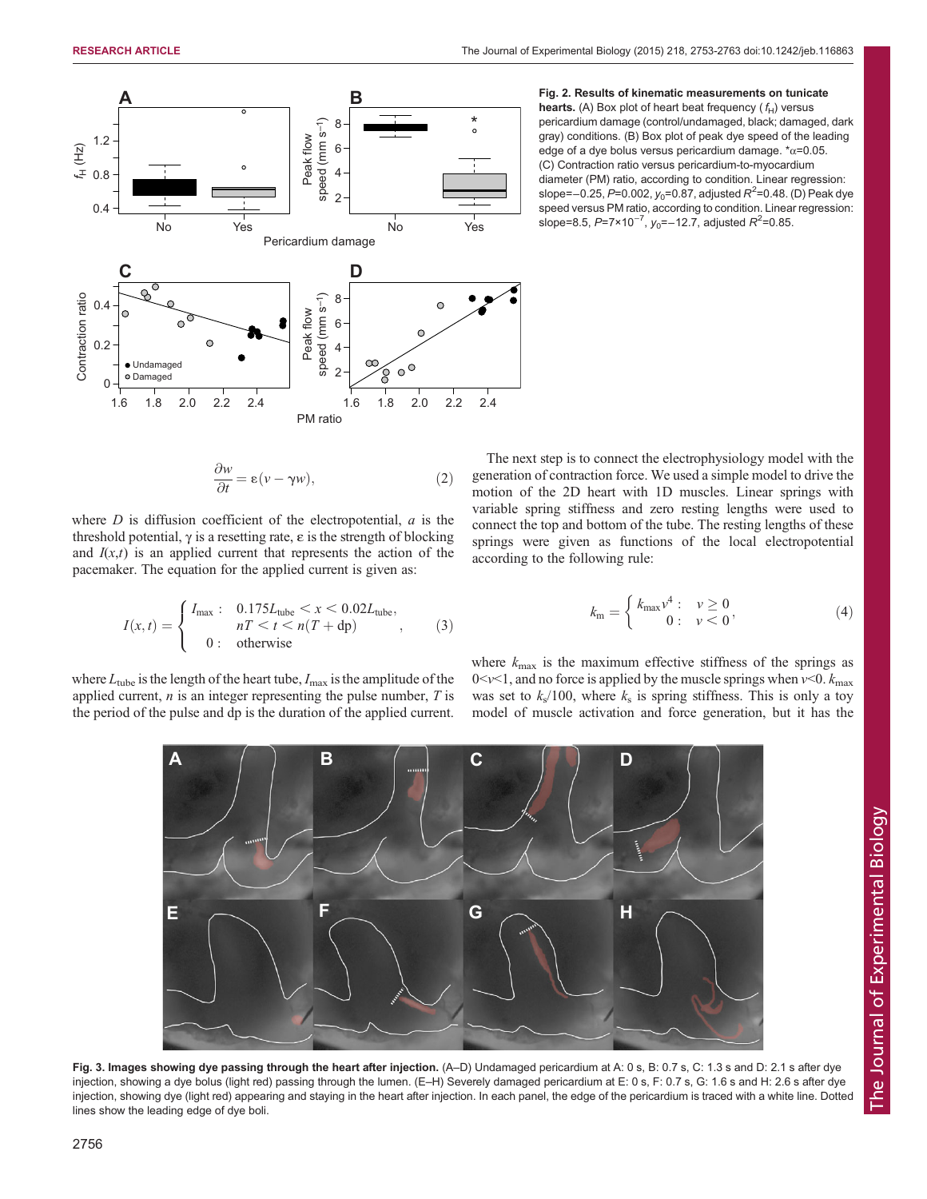<span id="page-3-0"></span>

**Fig. 2. Results of kinematic measurements on tunicate hearts.** (A) Box plot of heart beat frequency (
$$
f_H
$$
) versus pericardium damage (control/undamaged, black; damaged, dark gray) conditions. (B) Box plot of peak dye speed of the leading edge of a dye bolus versus pericardium damage.  $\dot{\tau}_{\alpha}$ =0.05. (C) Contraction ratio versus pericardium-to-myocardium (G) Contration. Itiner regression: slope=-0.25, *P*=0.002, *y*<sub>0</sub>=0.87, adjusted *R*<sup>2</sup>=0.48. (D) Peak dye speed versus PM ratio, according to condition. Linear regression: slope=8.5, *P*=7×10<sup>-7</sup>, *y*<sub>0</sub>=-12.7, adjusted *R*<sup>2</sup>=0.85.

$$
\frac{\partial w}{\partial t} = \varepsilon (v - \gamma w),\tag{2}
$$

where  $D$  is diffusion coefficient of the electropotential,  $a$  is the threshold potential,  $γ$  is a resetting rate,  $ε$  is the strength of blocking and  $I(x,t)$  is an applied current that represents the action of the pacemaker. The equation for the applied current is given as:

$$
I(x,t) = \begin{cases} I_{\text{max}}: & 0.175L_{\text{tube}} < x < 0.02L_{\text{tube}}, \\ & n \leq t < n \left( T + \text{dp} \right) \\ 0: & \text{otherwise} \end{cases} \tag{3}
$$

where  $L_{\text{tube}}$  is the length of the heart tube,  $I_{\text{max}}$  is the amplitude of the applied current,  $n$  is an integer representing the pulse number,  $T$  is the period of the pulse and dp is the duration of the applied current.

The next step is to connect the electrophysiology model with the generation of contraction force. We used a simple model to drive the motion of the 2D heart with 1D muscles. Linear springs with variable spring stiffness and zero resting lengths were used to connect the top and bottom of the tube. The resting lengths of these springs were given as functions of the local electropotential according to the following rule:

$$
k_{\rm m} = \begin{cases} k_{\rm max} v^4: & \nu \ge 0 \\ 0: & \nu < 0 \end{cases}
$$
 (4)

where  $k_{\text{max}}$  is the maximum effective stiffness of the springs as  $0 \le v \le 1$ , and no force is applied by the muscle springs when  $v \le 0$ .  $k_{\text{max}}$ was set to  $k_s/100$ , where  $k_s$  is spring stiffness. This is only a toy model of muscle activation and force generation, but it has the



Fig. 3. Images showing dye passing through the heart after injection. (A-D) Undamaged pericardium at A: 0 s, B: 0.7 s, C: 1.3 s and D: 2.1 s after dye injection, showing a dye bolus (light red) passing through the lumen. (E-H) Severely damaged pericardium at E: 0 s, F: 0.7 s, G: 1.6 s and H: 2.6 s after dye injection, showing dye (light red) appearing and staying in the heart after injection. In each panel, the edge of the pericardium is traced with a white line. Dotted lines show the leading edge of dye boli.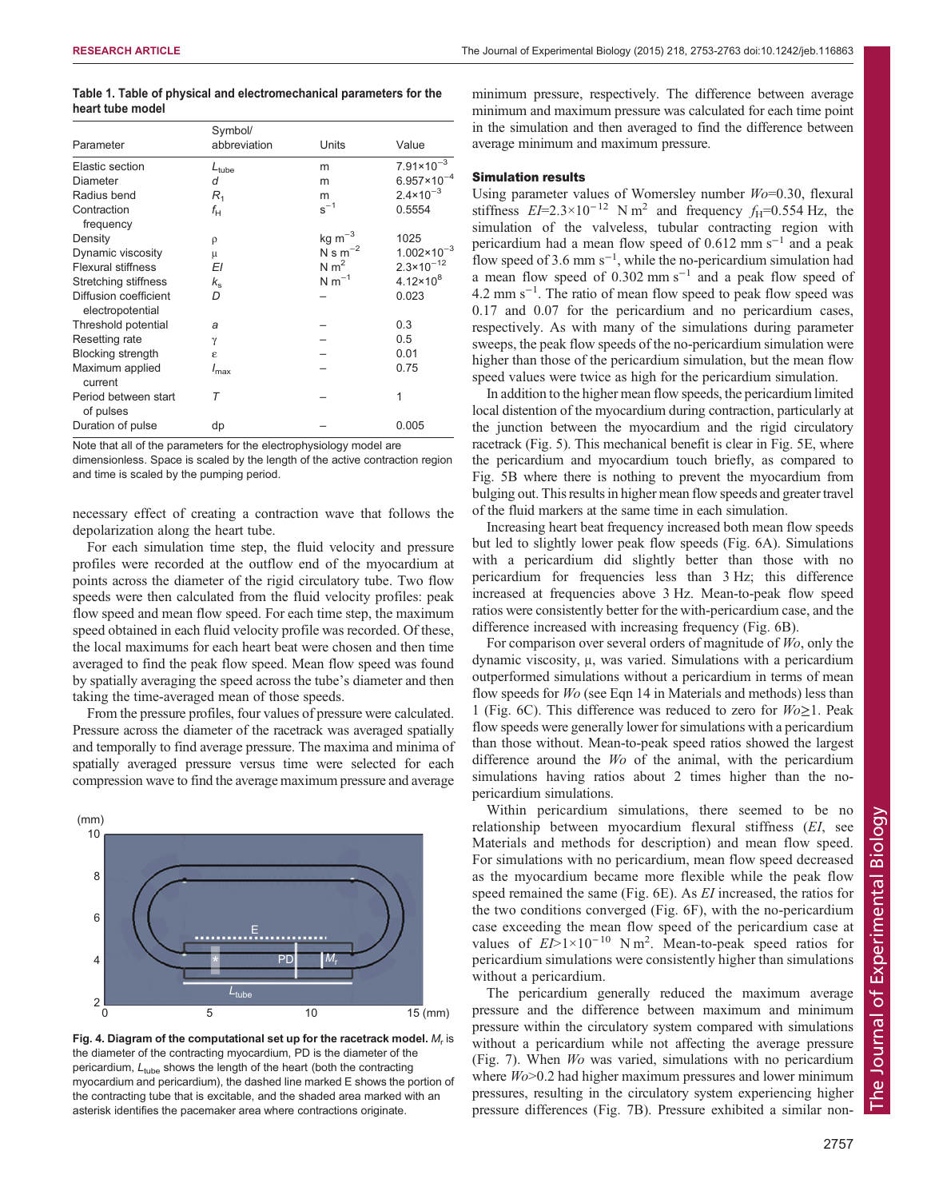<span id="page-4-0"></span>

| Table 1. Table of physical and electromechanical parameters for the |  |  |  |
|---------------------------------------------------------------------|--|--|--|
| heart tube model                                                    |  |  |  |

|                                           | Symbol/           |              |                               |
|-------------------------------------------|-------------------|--------------|-------------------------------|
| Parameter                                 | abbreviation      | Units        | Value                         |
| Elastic section                           | $L_{\text{tube}}$ | m            | $7.91 \times 10^{-3}$         |
| Diameter                                  | d                 | m            | $6.957 \times 10^{-4}$        |
| Radius bend                               | $R_1$             | m            | $2.4 \times 10^{-3}$          |
| Contraction<br>frequency                  | $f_{\rm H}$       | $s^{-1}$     | 0.5554                        |
| Density                                   | ρ                 | $kg m^{-3}$  | 1025                          |
| Dynamic viscosity                         | μ                 | N s $m^{-2}$ | $1.002 \times 10^{-3}$        |
| <b>Flexural stiffness</b>                 | ΕI                | N $m^2$      | $2.3 \times 10^{-12}$         |
| Stretching stiffness                      | $k_{\rm s}$       | $N m^{-1}$   | 4.12 $\times$ 10 <sup>8</sup> |
| Diffusion coefficient<br>electropotential | D                 |              | 0.023                         |
| Threshold potential                       | a                 |              | 0.3                           |
| Resetting rate                            | γ                 |              | 0.5                           |
| <b>Blocking strength</b>                  | ε                 |              | 0.01                          |
| Maximum applied<br>current                | $I_{\text{max}}$  |              | 0.75                          |
| Period between start<br>of pulses         | Τ                 |              | 1                             |
| Duration of pulse                         | dp                |              | 0.005                         |

Note that all of the parameters for the electrophysiology model are

dimensionless. Space is scaled by the length of the active contraction region and time is scaled by the pumping period.

necessary effect of creating a contraction wave that follows the depolarization along the heart tube.

For each simulation time step, the fluid velocity and pressure profiles were recorded at the outflow end of the myocardium at points across the diameter of the rigid circulatory tube. Two flow speeds were then calculated from the fluid velocity profiles: peak flow speed and mean flow speed. For each time step, the maximum speed obtained in each fluid velocity profile was recorded. Of these, the local maximums for each heart beat were chosen and then time averaged to find the peak flow speed. Mean flow speed was found by spatially averaging the speed across the tube's diameter and then taking the time-averaged mean of those speeds.

From the pressure profiles, four values of pressure were calculated. Pressure across the diameter of the racetrack was averaged spatially and temporally to find average pressure. The maxima and minima of spatially averaged pressure versus time were selected for each compression wave to find the average maximum pressure and average



Fig. 4. Diagram of the computational set up for the racetrack model.  $M_r$  is the diameter of the contracting myocardium, PD is the diameter of the pericardium,  $L_{tube}$  shows the length of the heart (both the contracting myocardium and pericardium), the dashed line marked E shows the portion of the contracting tube that is excitable, and the shaded area marked with an asterisk identifies the pacemaker area where contractions originate.

minimum pressure, respectively. The difference between average minimum and maximum pressure was calculated for each time point in the simulation and then averaged to find the difference between average minimum and maximum pressure.

## Simulation results

Using parameter values of Womersley number  $Wo=0.30$ , flexural stiffness  $EI=2.3\times10^{-12}$  N m<sup>2</sup> and frequency  $f_H=0.554$  Hz, the simulation of the valveless, tubular contracting region with pericardium had a mean flow speed of  $0.612$  mm s<sup>-1</sup> and a peak flow speed of 3.6 mm s−<sup>1</sup> , while the no-pericardium simulation had a mean flow speed of 0.302 mm s−<sup>1</sup> and a peak flow speed of 4.2 mm s−<sup>1</sup> . The ratio of mean flow speed to peak flow speed was 0.17 and 0.07 for the pericardium and no pericardium cases, respectively. As with many of the simulations during parameter sweeps, the peak flow speeds of the no-pericardium simulation were higher than those of the pericardium simulation, but the mean flow speed values were twice as high for the pericardium simulation.

In addition to the higher mean flow speeds, the pericardium limited local distention of the myocardium during contraction, particularly at the junction between the myocardium and the rigid circulatory racetrack [\(Fig. 5](#page-5-0)). This mechanical benefit is clear in [Fig. 5](#page-5-0)E, where the pericardium and myocardium touch briefly, as compared to [Fig. 5](#page-5-0)B where there is nothing to prevent the myocardium from bulging out. This results in higher mean flow speeds and greater travel of the fluid markers at the same time in each simulation.

Increasing heart beat frequency increased both mean flow speeds but led to slightly lower peak flow speeds ([Fig. 6A](#page-6-0)). Simulations with a pericardium did slightly better than those with no pericardium for frequencies less than 3 Hz; this difference increased at frequencies above 3 Hz. Mean-to-peak flow speed ratios were consistently better for the with-pericardium case, and the difference increased with increasing frequency [\(Fig. 6](#page-6-0)B).

For comparison over several orders of magnitude of Wo, only the dynamic viscosity, μ, was varied. Simulations with a pericardium outperformed simulations without a pericardium in terms of mean flow speeds for Wo (see Eqn 14 in Materials and methods) less than 1 [\(Fig. 6](#page-6-0)C). This difference was reduced to zero for  $W_0 \geq 1$ . Peak flow speeds were generally lower for simulations with a pericardium than those without. Mean-to-peak speed ratios showed the largest difference around the W<sub>o</sub> of the animal, with the pericardium simulations having ratios about 2 times higher than the nopericardium simulations.

Within pericardium simulations, there seemed to be no relationship between myocardium flexural stiffness (EI, see Materials and methods for description) and mean flow speed. For simulations with no pericardium, mean flow speed decreased as the myocardium became more flexible while the peak flow speed remained the same ([Fig. 6](#page-6-0)E). As EI increased, the ratios for the two conditions converged [\(Fig. 6](#page-6-0)F), with the no-pericardium case exceeding the mean flow speed of the pericardium case at values of  $E$  $>1\times10^{-10}$  N m<sup>2</sup>. Mean-to-peak speed ratios for nericardium simulations were consistently higher than simulations pericardium simulations were consistently higher than simulations without a pericardium.

The pericardium generally reduced the maximum average pressure and the difference between maximum and minimum pressure within the circulatory system compared with simulations without a pericardium while not affecting the average pressure [\(Fig. 7\)](#page-7-0). When Wo was varied, simulations with no pericardium where  $W<sub>o</sub>$  > 0.2 had higher maximum pressures and lower minimum pressures, resulting in the circulatory system experiencing higher pressure differences [\(Fig. 7B](#page-7-0)). Pressure exhibited a similar non-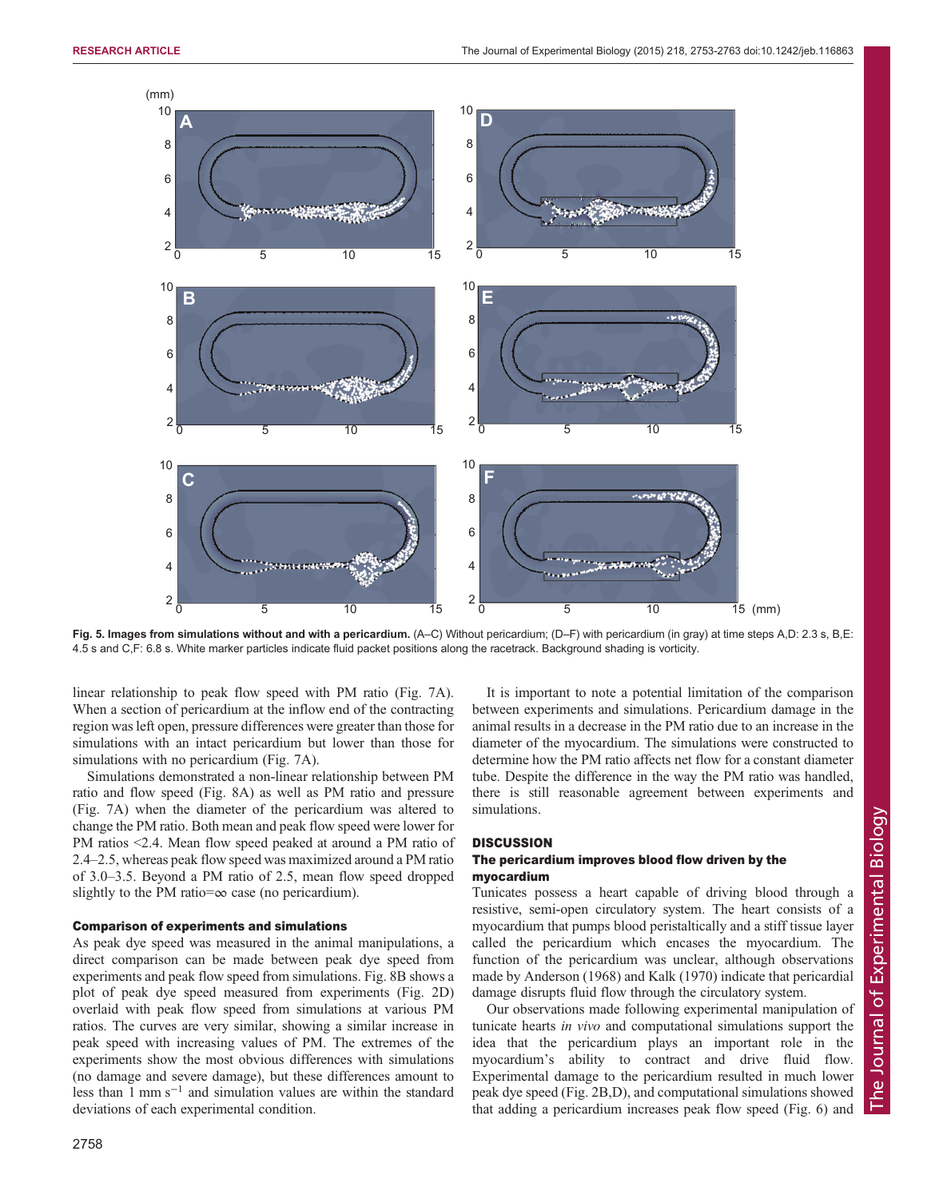<span id="page-5-0"></span>

Fig. 5. Images from simulations without and with a pericardium. (A–C) Without pericardium; (D–F) with pericardium (in gray) at time steps A,D: 2.3 s, B,E: 4.5 s and C,F: 6.8 s. White marker particles indicate fluid packet positions along the racetrack. Background shading is vorticity.

linear relationship to peak flow speed with PM ratio ([Fig. 7A](#page-7-0)). When a section of pericardium at the inflow end of the contracting region was left open, pressure differences were greater than those for simulations with an intact pericardium but lower than those for simulations with no pericardium ([Fig. 7A](#page-7-0)).

Simulations demonstrated a non-linear relationship between PM ratio and flow speed ([Fig. 8A](#page-7-0)) as well as PM ratio and pressure [\(Fig. 7](#page-7-0)A) when the diameter of the pericardium was altered to change the PM ratio. Both mean and peak flow speed were lower for PM ratios <2.4. Mean flow speed peaked at around a PM ratio of 2.4–2.5, whereas peak flow speed was maximized around a PM ratio of 3.0–3.5. Beyond a PM ratio of 2.5, mean flow speed dropped slightly to the PM ratio= $\infty$  case (no pericardium).

#### Comparison of experiments and simulations

As peak dye speed was measured in the animal manipulations, a direct comparison can be made between peak dye speed from experiments and peak flow speed from simulations. [Fig. 8](#page-7-0)B shows a plot of peak dye speed measured from experiments [\(Fig. 2](#page-3-0)D) overlaid with peak flow speed from simulations at various PM ratios. The curves are very similar, showing a similar increase in peak speed with increasing values of PM. The extremes of the experiments show the most obvious differences with simulations (no damage and severe damage), but these differences amount to less than 1 mm s−<sup>1</sup> and simulation values are within the standard deviations of each experimental condition.

It is important to note a potential limitation of the comparison between experiments and simulations. Pericardium damage in the animal results in a decrease in the PM ratio due to an increase in the diameter of the myocardium. The simulations were constructed to determine how the PM ratio affects net flow for a constant diameter tube. Despite the difference in the way the PM ratio was handled, there is still reasonable agreement between experiments and simulations.

## **DISCUSSION**

# The pericardium improves blood flow driven by the myocardium

Tunicates possess a heart capable of driving blood through a resistive, semi-open circulatory system. The heart consists of a myocardium that pumps blood peristaltically and a stiff tissue layer called the pericardium which encases the myocardium. The function of the pericardium was unclear, although observations made by [Anderson \(1968\)](#page-9-0) and [Kalk \(1970\)](#page-10-0) indicate that pericardial damage disrupts fluid flow through the circulatory system.

Our observations made following experimental manipulation of tunicate hearts in vivo and computational simulations support the idea that the pericardium plays an important role in the myocardium's ability to contract and drive fluid flow. Experimental damage to the pericardium resulted in much lower peak dye speed ([Fig. 2B](#page-3-0),D), and computational simulations showed that adding a pericardium increases peak flow speed [\(Fig. 6\)](#page-6-0) and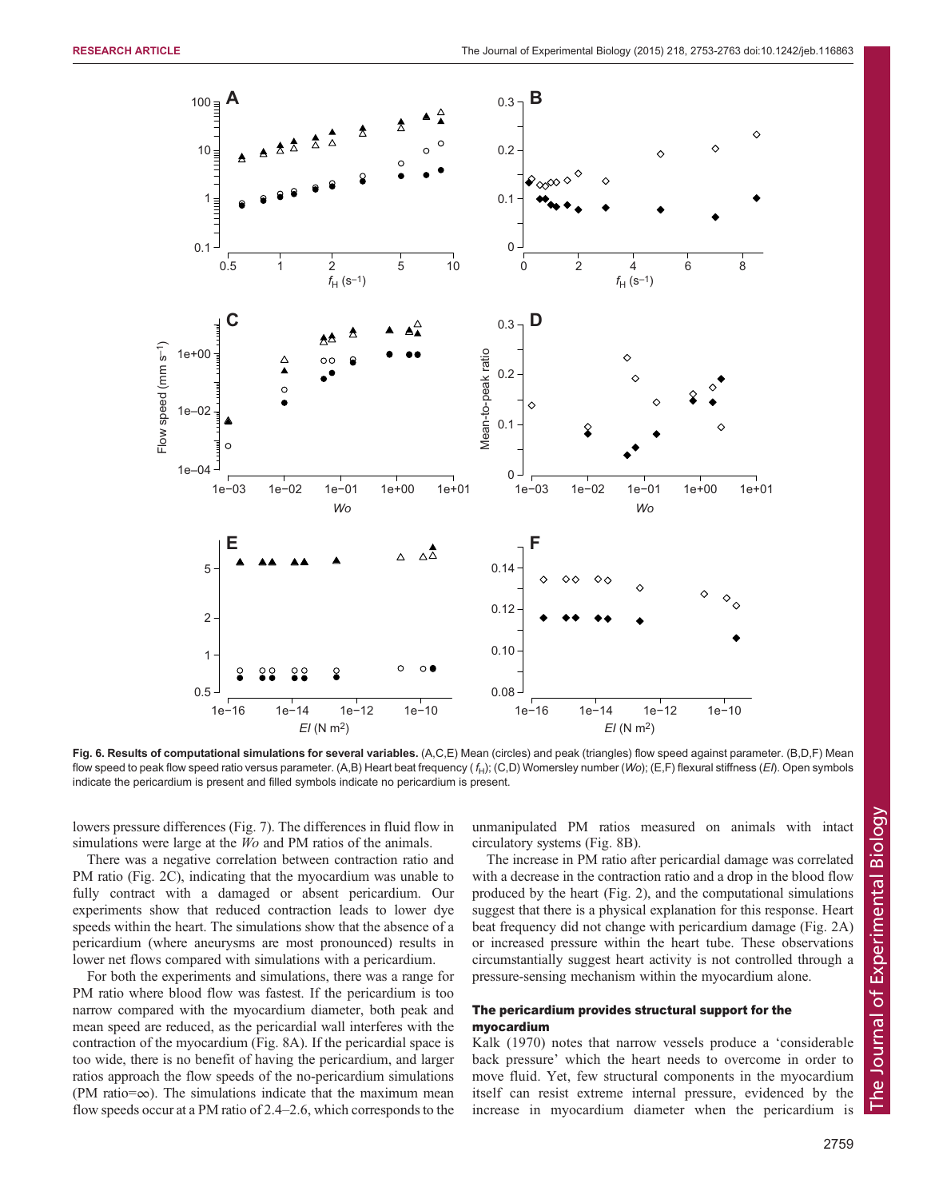<span id="page-6-0"></span>

Fig. 6. Results of computational simulations for several variables. (A,C,E) Mean (circles) and peak (triangles) flow speed against parameter. (B,D,F) Mean flow speed to peak flow speed ratio versus parameter. (A,B) Heart beat frequency ( $f_H$ ); (C,D) Womersley number (Wo); (E,F) flexural stiffness (EI). Open symbols indicate the pericardium is present and filled symbols indicate no pericardium is present.

lowers pressure differences [\(Fig. 7](#page-7-0)). The differences in fluid flow in simulations were large at the *Wo* and PM ratios of the animals.

There was a negative correlation between contraction ratio and PM ratio [\(Fig. 2](#page-3-0)C), indicating that the myocardium was unable to fully contract with a damaged or absent pericardium. Our experiments show that reduced contraction leads to lower dye speeds within the heart. The simulations show that the absence of a pericardium (where aneurysms are most pronounced) results in lower net flows compared with simulations with a pericardium.

For both the experiments and simulations, there was a range for PM ratio where blood flow was fastest. If the pericardium is too narrow compared with the myocardium diameter, both peak and mean speed are reduced, as the pericardial wall interferes with the contraction of the myocardium [\(Fig. 8](#page-7-0)A). If the pericardial space is too wide, there is no benefit of having the pericardium, and larger ratios approach the flow speeds of the no-pericardium simulations (PM ratio=∞). The simulations indicate that the maximum mean flow speeds occur at a PM ratio of 2.4–2.6, which corresponds to the unmanipulated PM ratios measured on animals with intact circulatory systems ([Fig. 8](#page-7-0)B).

The increase in PM ratio after pericardial damage was correlated with a decrease in the contraction ratio and a drop in the blood flow produced by the heart [\(Fig. 2\)](#page-3-0), and the computational simulations suggest that there is a physical explanation for this response. Heart beat frequency did not change with pericardium damage ([Fig. 2](#page-3-0)A) or increased pressure within the heart tube. These observations circumstantially suggest heart activity is not controlled through a pressure-sensing mechanism within the myocardium alone.

## The pericardium provides structural support for the myocardium

[Kalk \(1970\)](#page-10-0) notes that narrow vessels produce a 'considerable back pressure' which the heart needs to overcome in order to move fluid. Yet, few structural components in the myocardium itself can resist extreme internal pressure, evidenced by the increase in myocardium diameter when the pericardium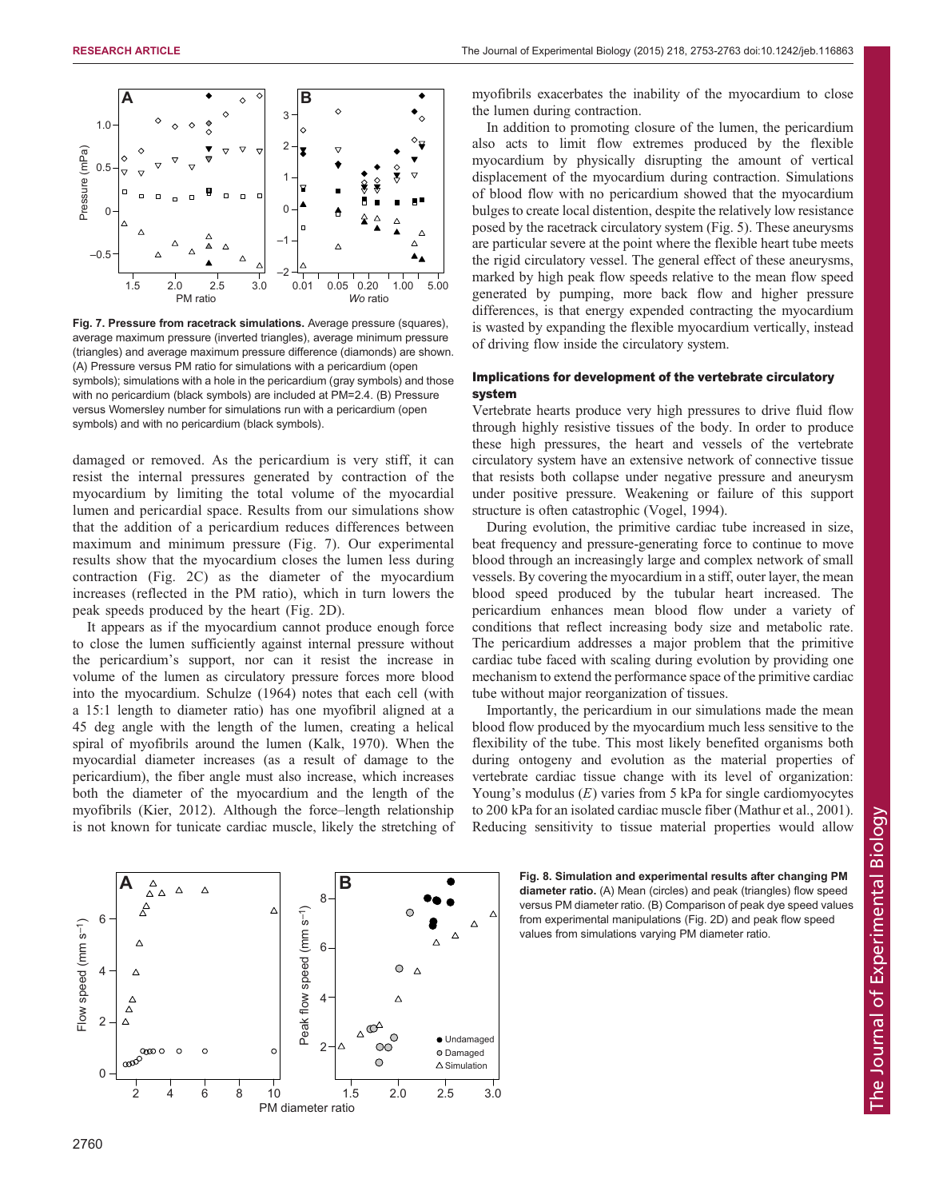<span id="page-7-0"></span>

Fig. 7. Pressure from racetrack simulations. Average pressure (squares), average maximum pressure (inverted triangles), average minimum pressure (triangles) and average maximum pressure difference (diamonds) are shown. (A) Pressure versus PM ratio for simulations with a pericardium (open symbols); simulations with a hole in the pericardium (gray symbols) and those with no pericardium (black symbols) are included at PM=2.4. (B) Pressure versus Womersley number for simulations run with a pericardium (open symbols) and with no pericardium (black symbols).

damaged or removed. As the pericardium is very stiff, it can resist the internal pressures generated by contraction of the myocardium by limiting the total volume of the myocardial lumen and pericardial space. Results from our simulations show that the addition of a pericardium reduces differences between maximum and minimum pressure (Fig. 7). Our experimental results show that the myocardium closes the lumen less during contraction ([Fig. 2](#page-3-0)C) as the diameter of the myocardium increases (reflected in the PM ratio), which in turn lowers the peak speeds produced by the heart ([Fig. 2D](#page-3-0)).

It appears as if the myocardium cannot produce enough force to close the lumen sufficiently against internal pressure without the pericardium's support, nor can it resist the increase in volume of the lumen as circulatory pressure forces more blood into the myocardium. [Schulze \(1964\)](#page-10-0) notes that each cell (with a 15:1 length to diameter ratio) has one myofibril aligned at a 45 deg angle with the length of the lumen, creating a helical spiral of myofibrils around the lumen ([Kalk, 1970](#page-10-0)). When the myocardial diameter increases (as a result of damage to the pericardium), the fiber angle must also increase, which increases both the diameter of the myocardium and the length of the myofibrils ([Kier, 2012](#page-10-0)). Although the force–length relationship is not known for tunicate cardiac muscle, likely the stretching of myofibrils exacerbates the inability of the myocardium to close the lumen during contraction.

In addition to promoting closure of the lumen, the pericardium also acts to limit flow extremes produced by the flexible myocardium by physically disrupting the amount of vertical displacement of the myocardium during contraction. Simulations of blood flow with no pericardium showed that the myocardium bulges to create local distention, despite the relatively low resistance posed by the racetrack circulatory system ([Fig. 5\)](#page-5-0). These aneurysms are particular severe at the point where the flexible heart tube meets the rigid circulatory vessel. The general effect of these aneurysms, marked by high peak flow speeds relative to the mean flow speed generated by pumping, more back flow and higher pressure differences, is that energy expended contracting the myocardium is wasted by expanding the flexible myocardium vertically, instead of driving flow inside the circulatory system.

# Implications for development of the vertebrate circulatory system

Vertebrate hearts produce very high pressures to drive fluid flow through highly resistive tissues of the body. In order to produce these high pressures, the heart and vessels of the vertebrate circulatory system have an extensive network of connective tissue that resists both collapse under negative pressure and aneurysm under positive pressure. Weakening or failure of this support structure is often catastrophic [\(Vogel, 1994](#page-10-0)).

During evolution, the primitive cardiac tube increased in size, beat frequency and pressure-generating force to continue to move blood through an increasingly large and complex network of small vessels. By covering the myocardium in a stiff, outer layer, the mean blood speed produced by the tubular heart increased. The pericardium enhances mean blood flow under a variety of conditions that reflect increasing body size and metabolic rate. The pericardium addresses a major problem that the primitive cardiac tube faced with scaling during evolution by providing one mechanism to extend the performance space of the primitive cardiac tube without major reorganization of tissues.

Importantly, the pericardium in our simulations made the mean blood flow produced by the myocardium much less sensitive to the flexibility of the tube. This most likely benefited organisms both during ontogeny and evolution as the material properties of vertebrate cardiac tissue change with its level of organization: Young's modulus  $(E)$  varies from 5 kPa for single cardiomyocytes to 200 kPa for an isolated cardiac muscle fiber [\(Mathur et al., 2001\)](#page-10-0). Reducing sensitivity to tissue material properties would allow



Fig. 8. Simulation and experimental results after changing PM diameter ratio. (A) Mean (circles) and peak (triangles) flow speed versus PM diameter ratio. (B) Comparison of peak dye speed values from experimental manipulations ([Fig. 2](#page-3-0)D) and peak flow speed values from simulations varying PM diameter ratio.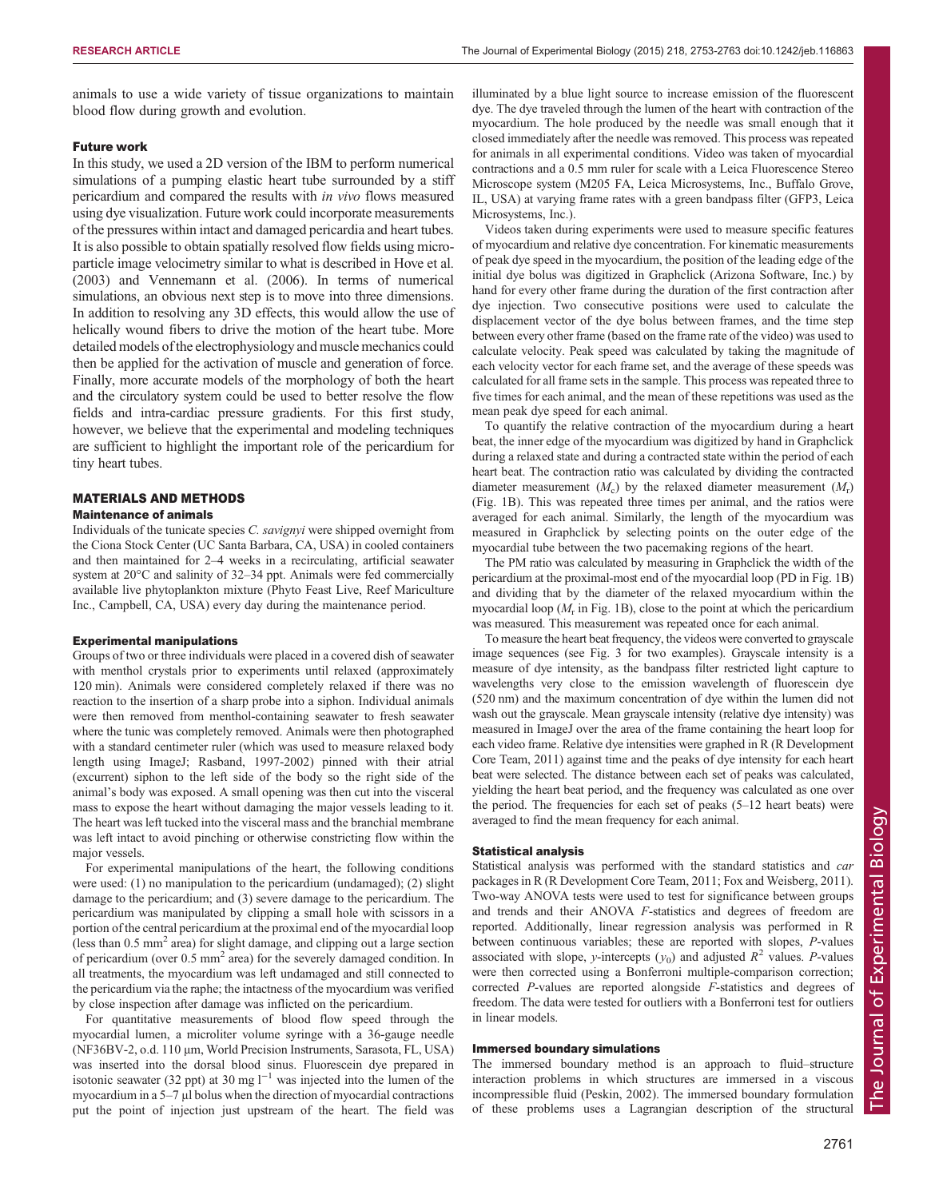animals to use a wide variety of tissue organizations to maintain blood flow during growth and evolution.

## Future work

In this study, we used a 2D version of the IBM to perform numerical simulations of a pumping elastic heart tube surrounded by a stiff pericardium and compared the results with in vivo flows measured using dye visualization. Future work could incorporate measurements of the pressures within intact and damaged pericardia and heart tubes. It is also possible to obtain spatially resolved flow fields using microparticle image velocimetry similar to what is described in [Hove et al.](#page-10-0) [\(2003\)](#page-10-0) and [Vennemann et al. \(2006\)](#page-10-0). In terms of numerical simulations, an obvious next step is to move into three dimensions. In addition to resolving any 3D effects, this would allow the use of helically wound fibers to drive the motion of the heart tube. More detailed models of the electrophysiology and muscle mechanics could then be applied for the activation of muscle and generation of force. Finally, more accurate models of the morphology of both the heart and the circulatory system could be used to better resolve the flow fields and intra-cardiac pressure gradients. For this first study, however, we believe that the experimental and modeling techniques are sufficient to highlight the important role of the pericardium for tiny heart tubes.

## MATERIALS AND METHODS

## Maintenance of animals

Individuals of the tunicate species C. savignyi were shipped overnight from the Ciona Stock Center (UC Santa Barbara, CA, USA) in cooled containers and then maintained for 2–4 weeks in a recirculating, artificial seawater system at 20°C and salinity of 32–34 ppt. Animals were fed commercially available live phytoplankton mixture (Phyto Feast Live, Reef Mariculture Inc., Campbell, CA, USA) every day during the maintenance period.

#### Experimental manipulations

Groups of two or three individuals were placed in a covered dish of seawater with menthol crystals prior to experiments until relaxed (approximately 120 min). Animals were considered completely relaxed if there was no reaction to the insertion of a sharp probe into a siphon. Individual animals were then removed from menthol-containing seawater to fresh seawater where the tunic was completely removed. Animals were then photographed with a standard centimeter ruler (which was used to measure relaxed body length using ImageJ; [Rasband, 1997-2002\)](#page-10-0) pinned with their atrial (excurrent) siphon to the left side of the body so the right side of the animal's body was exposed. A small opening was then cut into the visceral mass to expose the heart without damaging the major vessels leading to it. The heart was left tucked into the visceral mass and the branchial membrane was left intact to avoid pinching or otherwise constricting flow within the major vessels.

For experimental manipulations of the heart, the following conditions were used: (1) no manipulation to the pericardium (undamaged); (2) slight damage to the pericardium; and (3) severe damage to the pericardium. The pericardium was manipulated by clipping a small hole with scissors in a portion of the central pericardium at the proximal end of the myocardial loop (less than  $0.5$  mm<sup>2</sup> area) for slight damage, and clipping out a large section of pericardium (over 0.5 mm<sup>2</sup> area) for the severely damaged condition. In all treatments, the myocardium was left undamaged and still connected to the pericardium via the raphe; the intactness of the myocardium was verified by close inspection after damage was inflicted on the pericardium.

For quantitative measurements of blood flow speed through the myocardial lumen, a microliter volume syringe with a 36-gauge needle (NF36BV-2, o.d. 110 μm, World Precision Instruments, Sarasota, FL, USA) was inserted into the dorsal blood sinus. Fluorescein dye prepared in isotonic seawater (32 ppt) at 30 mg  $l^{-1}$  was injected into the lumen of the myocardium in a 5–7 μl bolus when the direction of myocardial contractions put the point of injection just upstream of the heart. The field was

illuminated by a blue light source to increase emission of the fluorescent dye. The dye traveled through the lumen of the heart with contraction of the myocardium. The hole produced by the needle was small enough that it closed immediately after the needle was removed. This process was repeated for animals in all experimental conditions. Video was taken of myocardial contractions and a 0.5 mm ruler for scale with a Leica Fluorescence Stereo Microscope system (M205 FA, Leica Microsystems, Inc., Buffalo Grove, IL, USA) at varying frame rates with a green bandpass filter (GFP3, Leica Microsystems, Inc.).

Videos taken during experiments were used to measure specific features of myocardium and relative dye concentration. For kinematic measurements of peak dye speed in the myocardium, the position of the leading edge of the initial dye bolus was digitized in Graphclick (Arizona Software, Inc.) by hand for every other frame during the duration of the first contraction after dye injection. Two consecutive positions were used to calculate the displacement vector of the dye bolus between frames, and the time step between every other frame (based on the frame rate of the video) was used to calculate velocity. Peak speed was calculated by taking the magnitude of each velocity vector for each frame set, and the average of these speeds was calculated for all frame sets in the sample. This process was repeated three to five times for each animal, and the mean of these repetitions was used as the mean peak dye speed for each animal.

To quantify the relative contraction of the myocardium during a heart beat, the inner edge of the myocardium was digitized by hand in Graphclick during a relaxed state and during a contracted state within the period of each heart beat. The contraction ratio was calculated by dividing the contracted diameter measurement  $(M_c)$  by the relaxed diameter measurement  $(M_r)$ ([Fig. 1B](#page-1-0)). This was repeated three times per animal, and the ratios were averaged for each animal. Similarly, the length of the myocardium was measured in Graphclick by selecting points on the outer edge of the myocardial tube between the two pacemaking regions of the heart.

The PM ratio was calculated by measuring in Graphclick the width of the pericardium at the proximal-most end of the myocardial loop (PD in [Fig. 1B](#page-1-0)) and dividing that by the diameter of the relaxed myocardium within the myocardial loop  $(M<sub>r</sub>$  in [Fig. 1](#page-1-0)B), close to the point at which the pericardium was measured. This measurement was repeated once for each animal.

To measure the heart beat frequency, the videos were converted to grayscale image sequences (see [Fig. 3](#page-3-0) for two examples). Grayscale intensity is a measure of dye intensity, as the bandpass filter restricted light capture to wavelengths very close to the emission wavelength of fluorescein dye (520 nm) and the maximum concentration of dye within the lumen did not wash out the grayscale. Mean grayscale intensity (relative dye intensity) was measured in ImageJ over the area of the frame containing the heart loop for each video frame. Relative dye intensities were graphed in R [\(R Development](#page-10-0) [Core Team, 2011\)](#page-10-0) against time and the peaks of dye intensity for each heart beat were selected. The distance between each set of peaks was calculated, yielding the heart beat period, and the frequency was calculated as one over the period. The frequencies for each set of peaks (5–12 heart beats) were averaged to find the mean frequency for each animal.

#### Statistical analysis

Statistical analysis was performed with the standard statistics and car packages in R ([R Development Core Team, 2011](#page-10-0); [Fox and Weisberg, 2011](#page-9-0)). Two-way ANOVA tests were used to test for significance between groups and trends and their ANOVA F-statistics and degrees of freedom are reported. Additionally, linear regression analysis was performed in R between continuous variables; these are reported with slopes, P-values associated with slope, y-intercepts  $(y_0)$  and adjusted  $R^2$  values. P-values were then corrected using a Bonferroni multiple-comparison correction; corrected P-values are reported alongside F-statistics and degrees of freedom. The data were tested for outliers with a Bonferroni test for outliers in linear models.

## Immersed boundary simulations

The immersed boundary method is an approach to fluid–structure interaction problems in which structures are immersed in a viscous incompressible fluid ([Peskin, 2002\)](#page-10-0). The immersed boundary formulation of these problems uses a Lagrangian description of the structural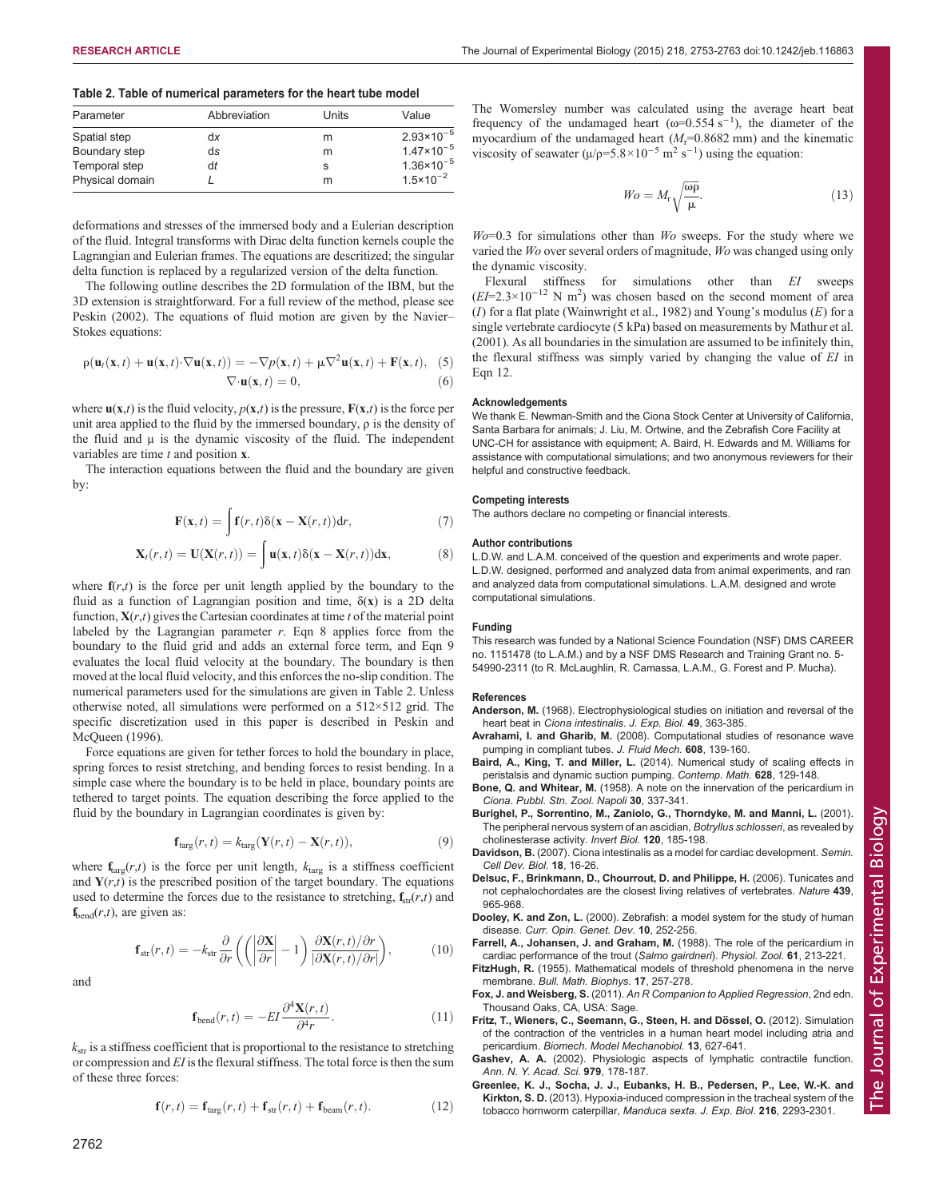#### <span id="page-9-0"></span>Table 2. Table of numerical parameters for the heart tube model

| Parameter       | Abbreviation | Units | Value                          |
|-----------------|--------------|-------|--------------------------------|
| Spatial step    | dx           | m     | $2.93 \times 10^{-5}$          |
| Boundary step   | ds           | m     | 1.47 $\times$ 10 <sup>-5</sup> |
| Temporal step   | dt           | s     | $1.36 \times 10^{-5}$          |
| Physical domain |              | m     | $1.5 \times 10^{-2}$           |

deformations and stresses of the immersed body and a Eulerian description of the fluid. Integral transforms with Dirac delta function kernels couple the Lagrangian and Eulerian frames. The equations are descritized; the singular delta function is replaced by a regularized version of the delta function.

The following outline describes the 2D formulation of the IBM, but the 3D extension is straightforward. For a full review of the method, please see [Peskin \(2002\)](#page-10-0). The equations of fluid motion are given by the Navier– Stokes equations:

$$
\rho(\mathbf{u}_t(\mathbf{x},t) + \mathbf{u}(\mathbf{x},t) \cdot \nabla \mathbf{u}(\mathbf{x},t)) = -\nabla p(\mathbf{x},t) + \mu \nabla^2 \mathbf{u}(\mathbf{x},t) + \mathbf{F}(\mathbf{x},t),
$$
 (5)  

$$
\nabla \cdot \mathbf{u}(\mathbf{x},t) = 0,
$$
 (6)

where  $\mathbf{u}(\mathbf{x},t)$  is the fluid velocity,  $p(\mathbf{x},t)$  is the pressure,  $\mathbf{F}(\mathbf{x},t)$  is the force per unit area applied to the fluid by the immersed boundary, ρ is the density of the fluid and μ is the dynamic viscosity of the fluid. The independent variables are time  $t$  and position  $x$ .

The interaction equations between the fluid and the boundary are given by:

$$
\mathbf{F}(\mathbf{x},t) = \int \mathbf{f}(r,t)\delta(\mathbf{x} - \mathbf{X}(r,t))\mathrm{d}r,\tag{7}
$$

$$
\mathbf{X}_t(r,t) = \mathbf{U}(\mathbf{X}(r,t)) = \int \mathbf{u}(\mathbf{x},t) \delta(\mathbf{x} - \mathbf{X}(r,t)) \mathrm{d}\mathbf{x},\tag{8}
$$

where  $f(r,t)$  is the force per unit length applied by the boundary to the fluid as a function of Lagrangian position and time,  $\delta(x)$  is a 2D delta function,  $X(r,t)$  gives the Cartesian coordinates at time t of the material point labeled by the Lagrangian parameter  $r$ . Eqn 8 applies force from the boundary to the fluid grid and adds an external force term, and Eqn 9 evaluates the local fluid velocity at the boundary. The boundary is then moved at the local fluid velocity, and this enforces the no-slip condition. The numerical parameters used for the simulations are given in Table 2. Unless otherwise noted, all simulations were performed on a 512×512 grid. The specific discretization used in this paper is described in [Peskin and](#page-10-0) [McQueen \(1996\).](#page-10-0)

Force equations are given for tether forces to hold the boundary in place, spring forces to resist stretching, and bending forces to resist bending. In a simple case where the boundary is to be held in place, boundary points are tethered to target points. The equation describing the force applied to the fluid by the boundary in Lagrangian coordinates is given by:

$$
\mathbf{f}_{\text{targ}}(r,t) = k_{\text{targ}}(\mathbf{Y}(r,t) - \mathbf{X}(r,t)),\tag{9}
$$

where  $f_{\text{targ}}(r,t)$  is the force per unit length,  $k_{\text{targ}}$  is a stiffness coefficient and  $Y(r,t)$  is the prescribed position of the target boundary. The equations used to determine the forces due to the resistance to stretching,  $f_{str}(r,t)$  and  $f_{\text{bend}}(r,t)$ , are given as:

$$
\mathbf{f}_{\rm str}(r,t) = -k_{\rm str} \frac{\partial}{\partial r} \left( \left( \left| \frac{\partial \mathbf{X}}{\partial r} \right| - 1 \right) \frac{\partial \mathbf{X}(r,t)/\partial r}{\partial \mathbf{X}(r,t)/\partial r} \right),\tag{10}
$$

and

$$
\mathbf{f}_{\text{bend}}(r,t) = -EI \frac{\partial^4 \mathbf{X}(r,t)}{\partial^4 r}.
$$
 (11)

 $k_{\text{str}}$  is a stiffness coefficient that is proportional to the resistance to stretching or compression and EI is the flexural stiffness. The total force is then the sum of these three forces:

$$
\mathbf{f}(r,t) = \mathbf{f}_{\text{targ}}(r,t) + \mathbf{f}_{\text{str}}(r,t) + \mathbf{f}_{\text{beam}}(r,t). \tag{12}
$$

The Womersley number was calculated using the average heart beat frequency of the undamaged heart  $(\omega=0.554 \text{ s}^{-1})$ , the diameter of the myocardium of the undamaged heart  $(M_r=0.8682 \text{ mm})$  and the kinematic viscosity of seawater  $(\mu/\rho = 5.8 \times 10^{-5} \text{ m}^2 \text{ s}^{-1})$  using the equation:

$$
W_O = M_r \sqrt{\frac{\omega \rho}{\mu}}.\tag{13}
$$

 $W_0$ =0.3 for simulations other than  $W_0$  sweeps. For the study where we varied the Wo over several orders of magnitude, Wo was changed using only the dynamic viscosity.

Flexural stiffness for simulations other than EI sweeps  $L = 2.3 \times 10^{-12}$  N m<sup>2</sup>) was chosen based on the second moment of area  $(EI=2.3\times10^{-12} \text{ N m}^2)$  was chosen based on the second moment of area (*I*) for a flat plate (Wainwright et al. 1982) and Young's modulus (*F*) for a (I) for a flat plate ([Wainwright et al., 1982\)](#page-10-0) and Young's modulus  $(E)$  for a single vertebrate cardiocyte (5 kPa) based on measurements by [Mathur et al.](#page-10-0) [\(2001\)](#page-10-0). As all boundaries in the simulation are assumed to be infinitely thin, the flexural stiffness was simply varied by changing the value of EI in Eqn 12.

#### Acknowledgements

We thank E. Newman-Smith and the Ciona Stock Center at University of California, Santa Barbara for animals; J. Liu, M. Ortwine, and the Zebrafish Core Facility at UNC-CH for assistance with equipment; A. Baird, H. Edwards and M. Williams for assistance with computational simulations; and two anonymous reviewers for their helpful and constructive feedback.

### Competing interests

The authors declare no competing or financial interests.

#### Author contributions

L.D.W. and L.A.M. conceived of the question and experiments and wrote paper. L.D.W. designed, performed and analyzed data from animal experiments, and ran and analyzed data from computational simulations. L.A.M. designed and wrote computational simulations.

#### Funding

This research was funded by a National Science Foundation (NSF) DMS CAREER no. 1151478 (to L.A.M.) and by a NSF DMS Research and Training Grant no. 5- 54990-2311 (to R. McLaughlin, R. Camassa, L.A.M., G. Forest and P. Mucha).

#### References

- Anderson, M. (1968). Electrophysiological studies on initiation and reversal of the heart beat in Ciona intestinalis. J. Exp. Biol. 49, 363-385.
- Avrahami, I. and Gharib, M. [\(2008\). Computational studies of resonance wave](http://dx.doi.org/10.1017/S0022112008002012) [pumping in compliant tubes.](http://dx.doi.org/10.1017/S0022112008002012) J. Fluid Mech. 608, 139-160.
- Baird, A., King, T. and Miller, L. [\(2014\). Numerical study of scaling effects in](http://dx.doi.org/10.1090/conm/628/12543) [peristalsis and dynamic suction pumping.](http://dx.doi.org/10.1090/conm/628/12543) Contemp. Math. 628, 129-148.
- Bone, Q. and Whitear, M. (1958). A note on the innervation of the pericardium in Ciona. Pubbl. Stn. Zool. Napoli 30, 337-341.
- [Burighel, P., Sorrentino, M., Zaniolo, G., Thorndyke, M. and Manni, L.](http://dx.doi.org/10.1111/j.1744-7410.2001.tb00123.x) (2001). [The peripheral nervous system of an ascidian,](http://dx.doi.org/10.1111/j.1744-7410.2001.tb00123.x) Botryllus schlosseri, as revealed by [cholinesterase activity.](http://dx.doi.org/10.1111/j.1744-7410.2001.tb00123.x) Invert Biol. 120, 185-198.
- Davidson, B. [\(2007\). Ciona intestinalis as a model for cardiac development.](http://dx.doi.org/10.1016/j.semcdb.2006.12.007) Semin. [Cell Dev. Biol.](http://dx.doi.org/10.1016/j.semcdb.2006.12.007) 18, 16-26.
- [Delsuc, F., Brinkmann, D., Chourrout, D. and Philippe, H.](http://dx.doi.org/10.1038/nature04336) (2006). Tunicates and [not cephalochordates are the closest living relatives of vertebrates.](http://dx.doi.org/10.1038/nature04336) Nature 439, [965-968.](http://dx.doi.org/10.1038/nature04336)
- Dooley, K. and Zon, L. [\(2000\). Zebrafish: a model system for the study of human](http://dx.doi.org/10.1016/S0959-437X(00)00074-5) disease. [Curr. Opin. Genet. Dev.](http://dx.doi.org/10.1016/S0959-437X(00)00074-5) 10, 252-256.
- Farrell, A., Johansen, J. and Graham, M. (1988). The role of the pericardium in cardiac performance of the trout (Salmo gairdneri). Physiol. Zool. 61, 213-221.
- FitzHugh, R. [\(1955\). Mathematical models of threshold phenomena in the nerve](http://dx.doi.org/10.1007/BF02477753) membrane. [Bull. Math. Biophys.](http://dx.doi.org/10.1007/BF02477753) 17, 257-278. Fox, J. and Weisberg, S. (2011). An R Companion to Applied Regression, 2nd edn.
- Thousand Oaks, CA, USA: Sage.
- Fritz, T., Wieners, C., Seemann, G., Steen, H. and Dössel, O. (2012). Simulation [of the contraction of the ventricles in a human heart model including atria and](http://dx.doi.org/10.1007/s10237-013-0523-y) pericardium. [Biomech. Model Mechanobiol.](http://dx.doi.org/10.1007/s10237-013-0523-y) 13, 627-641.
- Gashev, A. A. [\(2002\). Physiologic aspects of lymphatic contractile function.](http://dx.doi.org/10.1111/j.1749-6632.2002.tb04878.x) [Ann. N. Y. Acad. Sci.](http://dx.doi.org/10.1111/j.1749-6632.2002.tb04878.x) 979, 178-187.
- [Greenlee, K. J., Socha, J. J., Eubanks, H. B., Pedersen, P., Lee, W.-K. and](http://dx.doi.org/10.1242/jeb.082479) Kirkton, S. D. [\(2013\). Hypoxia-induced compression in the tracheal system of the](http://dx.doi.org/10.1242/jeb.082479) [tobacco hornworm caterpillar,](http://dx.doi.org/10.1242/jeb.082479) Manduca sexta. J. Exp. Biol. 216, 2293-2301.